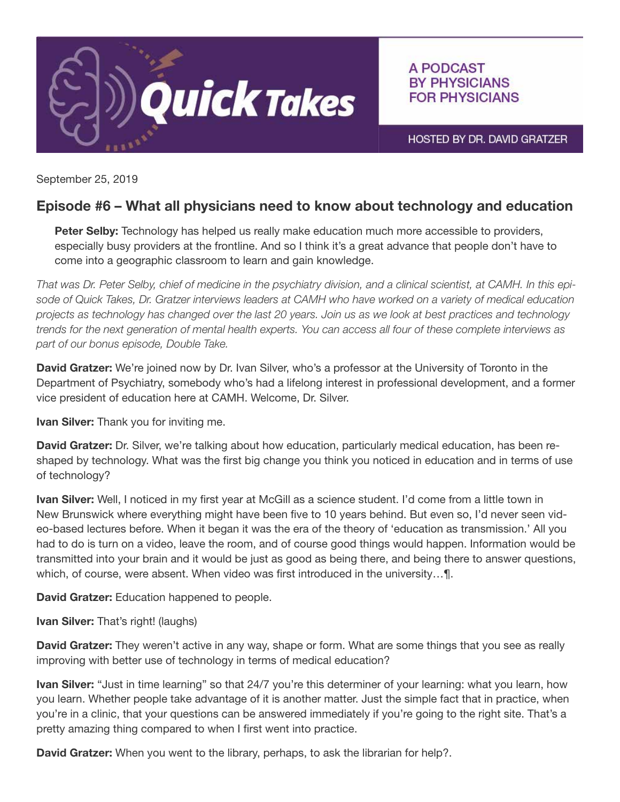

A PODCAST **BY PHYSICIANS FOR PHYSICIANS** 

HOSTED BY DR. DAVID GRATZER

September 25, 2019

## Episode #6 – What all physicians need to know about technology and education

Peter Selby: Technology has helped us really make education much more accessible to providers, especially busy providers at the frontline. And so I think it's a great advance that people don't have to come into a geographic classroom to learn and gain knowledge.

*That was Dr. Peter Selby, chief of medicine in the psychiatry division, and a clinical scientist, at CAMH. In this episode of Quick Takes, Dr. Gratzer interviews leaders at CAMH who have worked on a variety of medical education projects as technology has changed over the last 20 years. Join us as we look at best practices and technology trends for the next generation of mental health experts. You can access all four of these complete interviews as part of our bonus episode, Double Take.*

David Gratzer: We're joined now by Dr. Ivan Silver, who's a professor at the University of Toronto in the Department of Psychiatry, somebody who's had a lifelong interest in professional development, and a former vice president of education here at CAMH. Welcome, Dr. Silver.

**Ivan Silver:** Thank you for inviting me.

David Gratzer: Dr. Silver, we're talking about how education, particularly medical education, has been reshaped by technology. What was the first big change you think you noticed in education and in terms of use of technology?

**Ivan Silver:** Well, I noticed in my first year at McGill as a science student. I'd come from a little town in New Brunswick where everything might have been five to 10 years behind. But even so, I'd never seen video-based lectures before. When it began it was the era of the theory of 'education as transmission.' All you had to do is turn on a video, leave the room, and of course good things would happen. Information would be transmitted into your brain and it would be just as good as being there, and being there to answer questions, which, of course, were absent. When video was first introduced in the university…¶.

David Gratzer: Education happened to people.

**Ivan Silver:** That's right! (laughs)

David Gratzer: They weren't active in any way, shape or form. What are some things that you see as really improving with better use of technology in terms of medical education?

Ivan Silver: "Just in time learning" so that 24/7 you're this determiner of your learning: what you learn, how you learn. Whether people take advantage of it is another matter. Just the simple fact that in practice, when you're in a clinic, that your questions can be answered immediately if you're going to the right site. That's a pretty amazing thing compared to when I first went into practice.

David Gratzer: When you went to the library, perhaps, to ask the librarian for help?.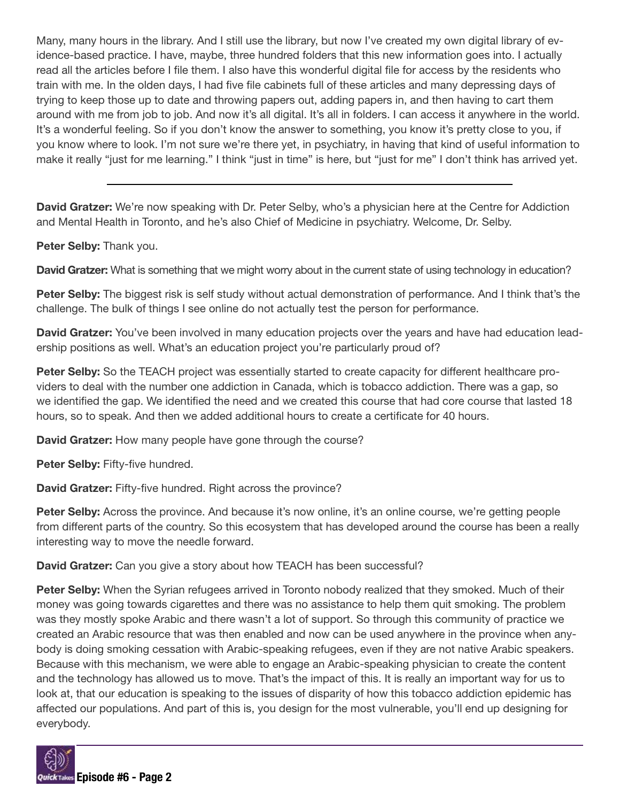Many, many hours in the library. And I still use the library, but now I've created my own digital library of evidence-based practice. I have, maybe, three hundred folders that this new information goes into. I actually read all the articles before I file them. I also have this wonderful digital file for access by the residents who train with me. In the olden days, I had five file cabinets full of these articles and many depressing days of trying to keep those up to date and throwing papers out, adding papers in, and then having to cart them around with me from job to job. And now it's all digital. It's all in folders. I can access it anywhere in the world. It's a wonderful feeling. So if you don't know the answer to something, you know it's pretty close to you, if you know where to look. I'm not sure we're there yet, in psychiatry, in having that kind of useful information to make it really "just for me learning." I think "just in time" is here, but "just for me" I don't think has arrived yet.

David Gratzer: We're now speaking with Dr. Peter Selby, who's a physician here at the Centre for Addiction and Mental Health in Toronto, and he's also Chief of Medicine in psychiatry. Welcome, Dr. Selby.

## Peter Selby: Thank you.

David Gratzer: What is something that we might worry about in the current state of using technology in education?

Peter Selby: The biggest risk is self study without actual demonstration of performance. And I think that's the challenge. The bulk of things I see online do not actually test the person for performance.

David Gratzer: You've been involved in many education projects over the years and have had education leadership positions as well. What's an education project you're particularly proud of?

Peter Selby: So the TEACH project was essentially started to create capacity for different healthcare providers to deal with the number one addiction in Canada, which is tobacco addiction. There was a gap, so we identified the gap. We identified the need and we created this course that had core course that lasted 18 hours, so to speak. And then we added additional hours to create a certificate for 40 hours.

**David Gratzer:** How many people have gone through the course?

Peter Selby: Fifty-five hundred.

David Gratzer: Fifty-five hundred. Right across the province?

Peter Selby: Across the province. And because it's now online, it's an online course, we're getting people from different parts of the country. So this ecosystem that has developed around the course has been a really interesting way to move the needle forward.

**David Gratzer:** Can you give a story about how TEACH has been successful?

Peter Selby: When the Syrian refugees arrived in Toronto nobody realized that they smoked. Much of their money was going towards cigarettes and there was no assistance to help them quit smoking. The problem was they mostly spoke Arabic and there wasn't a lot of support. So through this community of practice we created an Arabic resource that was then enabled and now can be used anywhere in the province when anybody is doing smoking cessation with Arabic-speaking refugees, even if they are not native Arabic speakers. Because with this mechanism, we were able to engage an Arabic-speaking physician to create the content and the technology has allowed us to move. That's the impact of this. It is really an important way for us to look at, that our education is speaking to the issues of disparity of how this tobacco addiction epidemic has affected our populations. And part of this is, you design for the most vulnerable, you'll end up designing for everybody.

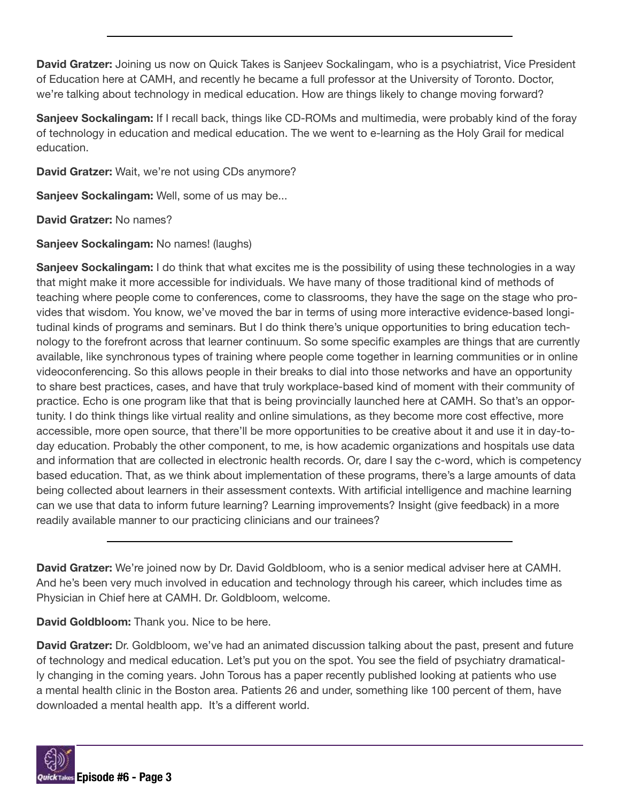David Gratzer: Joining us now on Quick Takes is Sanjeev Sockalingam, who is a psychiatrist, Vice President of Education here at CAMH, and recently he became a full professor at the University of Toronto. Doctor, we're talking about technology in medical education. How are things likely to change moving forward?

Sanjeev Sockalingam: If I recall back, things like CD-ROMs and multimedia, were probably kind of the foray of technology in education and medical education. The we went to e-learning as the Holy Grail for medical education.

David Gratzer: Wait, we're not using CDs anymore?

Sanjeev Sockalingam: Well, some of us may be...

David Gratzer: No names?

## Sanjeev Sockalingam: No names! (laughs)

Sanjeev Sockalingam: I do think that what excites me is the possibility of using these technologies in a way that might make it more accessible for individuals. We have many of those traditional kind of methods of teaching where people come to conferences, come to classrooms, they have the sage on the stage who provides that wisdom. You know, we've moved the bar in terms of using more interactive evidence-based longitudinal kinds of programs and seminars. But I do think there's unique opportunities to bring education technology to the forefront across that learner continuum. So some specific examples are things that are currently available, like synchronous types of training where people come together in learning communities or in online videoconferencing. So this allows people in their breaks to dial into those networks and have an opportunity to share best practices, cases, and have that truly workplace-based kind of moment with their community of practice. Echo is one program like that that is being provincially launched here at CAMH. So that's an opportunity. I do think things like virtual reality and online simulations, as they become more cost effective, more accessible, more open source, that there'll be more opportunities to be creative about it and use it in day-today education. Probably the other component, to me, is how academic organizations and hospitals use data and information that are collected in electronic health records. Or, dare I say the c-word, which is competency based education. That, as we think about implementation of these programs, there's a large amounts of data being collected about learners in their assessment contexts. With artificial intelligence and machine learning can we use that data to inform future learning? Learning improvements? Insight (give feedback) in a more readily available manner to our practicing clinicians and our trainees?

David Gratzer: We're joined now by Dr. David Goldbloom, who is a senior medical adviser here at CAMH. And he's been very much involved in education and technology through his career, which includes time as Physician in Chief here at CAMH. Dr. Goldbloom, welcome.

David Goldbloom: Thank you. Nice to be here.

David Gratzer: Dr. Goldbloom, we've had an animated discussion talking about the past, present and future of technology and medical education. Let's put you on the spot. You see the field of psychiatry dramatically changing in the coming years. John Torous has a paper recently published looking at patients who use a mental health clinic in the Boston area. Patients 26 and under, something like 100 percent of them, have downloaded a mental health app. It's a different world.